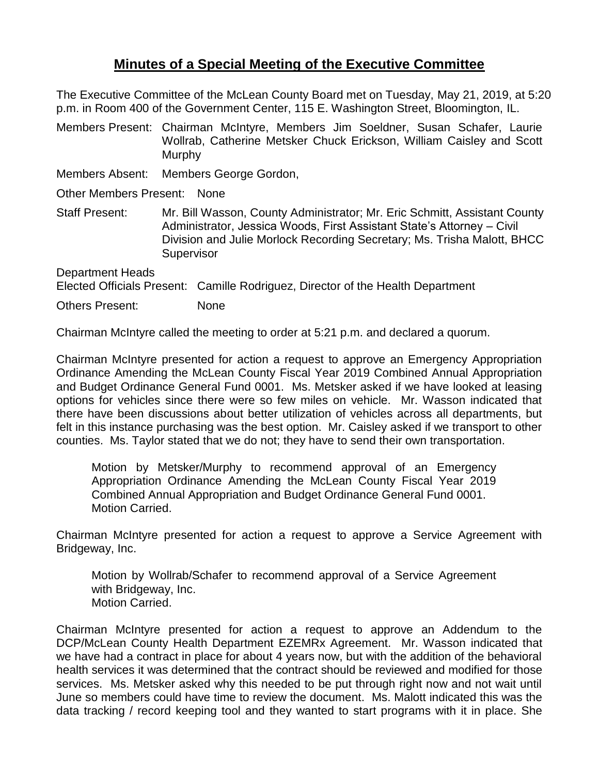## **Minutes of a Special Meeting of the Executive Committee**

The Executive Committee of the McLean County Board met on Tuesday, May 21, 2019, at 5:20 p.m. in Room 400 of the Government Center, 115 E. Washington Street, Bloomington, IL.

Members Present: Chairman McIntyre, Members Jim Soeldner, Susan Schafer, Laurie Wollrab, Catherine Metsker Chuck Erickson, William Caisley and Scott Murphy

Members Absent: Members George Gordon,

Other Members Present: None

Staff Present: Mr. Bill Wasson, County Administrator; Mr. Eric Schmitt, Assistant County Administrator, Jessica Woods, First Assistant State's Attorney – Civil Division and Julie Morlock Recording Secretary; Ms. Trisha Malott, BHCC **Supervisor** 

Department Heads Elected Officials Present: Camille Rodriguez, Director of the Health Department

Others Present: None

Chairman McIntyre called the meeting to order at 5:21 p.m. and declared a quorum.

Chairman McIntyre presented for action a request to approve an Emergency Appropriation Ordinance Amending the McLean County Fiscal Year 2019 Combined Annual Appropriation and Budget Ordinance General Fund 0001. Ms. Metsker asked if we have looked at leasing options for vehicles since there were so few miles on vehicle. Mr. Wasson indicated that there have been discussions about better utilization of vehicles across all departments, but felt in this instance purchasing was the best option. Mr. Caisley asked if we transport to other counties. Ms. Taylor stated that we do not; they have to send their own transportation.

Motion by Metsker/Murphy to recommend approval of an Emergency Appropriation Ordinance Amending the McLean County Fiscal Year 2019 Combined Annual Appropriation and Budget Ordinance General Fund 0001. Motion Carried.

Chairman McIntyre presented for action a request to approve a Service Agreement with Bridgeway, Inc.

Motion by Wollrab/Schafer to recommend approval of a Service Agreement with Bridgeway, Inc. Motion Carried.

Chairman McIntyre presented for action a request to approve an Addendum to the DCP/McLean County Health Department EZEMRx Agreement. Mr. Wasson indicated that we have had a contract in place for about 4 years now, but with the addition of the behavioral health services it was determined that the contract should be reviewed and modified for those services. Ms. Metsker asked why this needed to be put through right now and not wait until June so members could have time to review the document. Ms. Malott indicated this was the data tracking / record keeping tool and they wanted to start programs with it in place. She